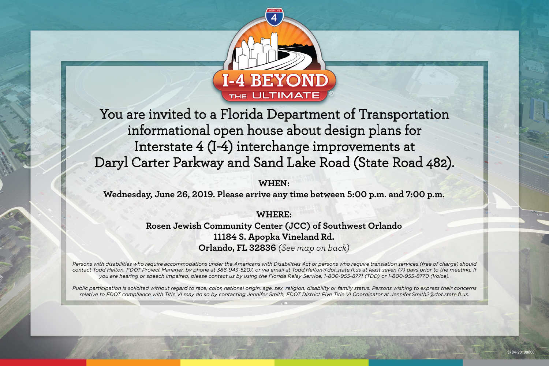

You are invited to a Florida Department of Transportation informational open house about design plans for Interstate 4 (I-4) interchange improvements at Daryl Carter Parkway and Sand Lake Road (State Road 482).

**WHEN:**

**Wednesday, June 26, 2019. Please arrive any time between 5:00 p.m. and 7:00 p.m.** 

**WHERE: Rosen Jewish Community Center (JCC) of Southwest Orlando 11184 S. Apopka Vineland Rd. Orlando, FL 32836** *(See map on back)*

*Persons with disabilities who require accommodations under the Americans with Disabilities Act or persons who require translation services (free of charge) should*  contact Todd Helton, FDOT Project Manager, by phone at 386-943-5207, or via email at Todd.Helton@dot.state.fl.us at least seven (7) days prior to the meeting. If *you are hearing or speech impaired, please contact us by using the Florida Relay Service, 1-800-955-8771 (TDD) or 1-800-955-8770 (Voice).*

*Public participation is solicited without regard to race, color, national origin, age, sex, religion, disability or family status. Persons wishing to express their concerns relative to FDOT compliance with Title VI may do so by contacting Jennifer Smith, FDOT District Five Title VI Coordinator at Jennifer.Smith2@dot.state.fl.us.*